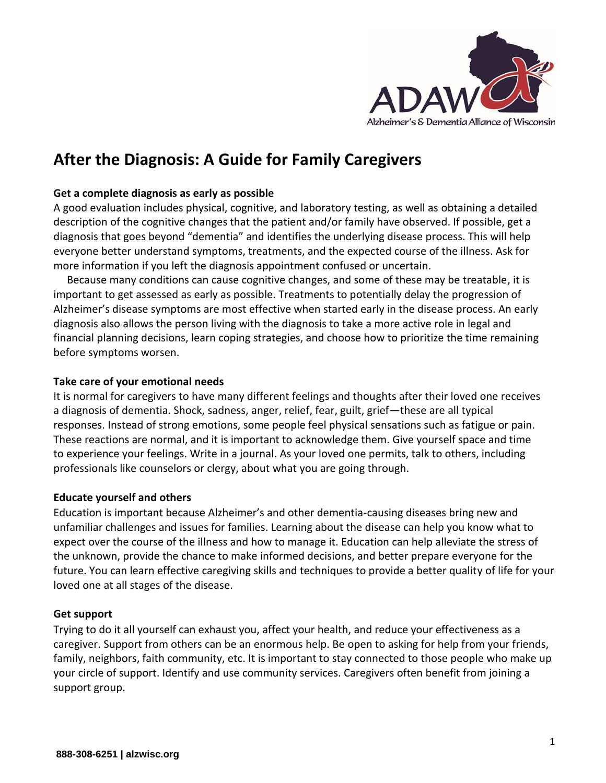

# **After the Diagnosis: A Guide for Family Caregivers**

## **Get a complete diagnosis as early as possible**

A good evaluation includes physical, cognitive, and laboratory testing, as well as obtaining a detailed description of the cognitive changes that the patient and/or family have observed. If possible, get a diagnosis that goes beyond "dementia" and identifies the underlying disease process. This will help everyone better understand symptoms, treatments, and the expected course of the illness. Ask for more information if you left the diagnosis appointment confused or uncertain.

Because many conditions can cause cognitive changes, and some of these may be treatable, it is important to get assessed as early as possible. Treatments to potentially delay the progression of Alzheimer's disease symptoms are most effective when started early in the disease process. An early diagnosis also allows the person living with the diagnosis to take a more active role in legal and financial planning decisions, learn coping strategies, and choose how to prioritize the time remaining before symptoms worsen.

#### **Take care of your emotional needs**

It is normal for caregivers to have many different feelings and thoughts after their loved one receives a diagnosis of dementia. Shock, sadness, anger, relief, fear, guilt, grief—these are all typical responses. Instead of strong emotions, some people feel physical sensations such as fatigue or pain. These reactions are normal, and it is important to acknowledge them. Give yourself space and time to experience your feelings. Write in a journal. As your loved one permits, talk to others, including professionals like counselors or clergy, about what you are going through.

#### **Educate yourself and others**

Education is important because Alzheimer's and other dementia-causing diseases bring new and unfamiliar challenges and issues for families. Learning about the disease can help you know what to expect over the course of the illness and how to manage it. Education can help alleviate the stress of the unknown, provide the chance to make informed decisions, and better prepare everyone for the future. You can learn effective caregiving skills and techniques to provide a better quality of life for your loved one at all stages of the disease.

#### **Get support**

Trying to do it all yourself can exhaust you, affect your health, and reduce your effectiveness as a caregiver. Support from others can be an enormous help. Be open to asking for help from your friends, family, neighbors, faith community, etc. It is important to stay connected to those people who make up your circle of support. Identify and use community services. Caregivers often benefit from joining a support group.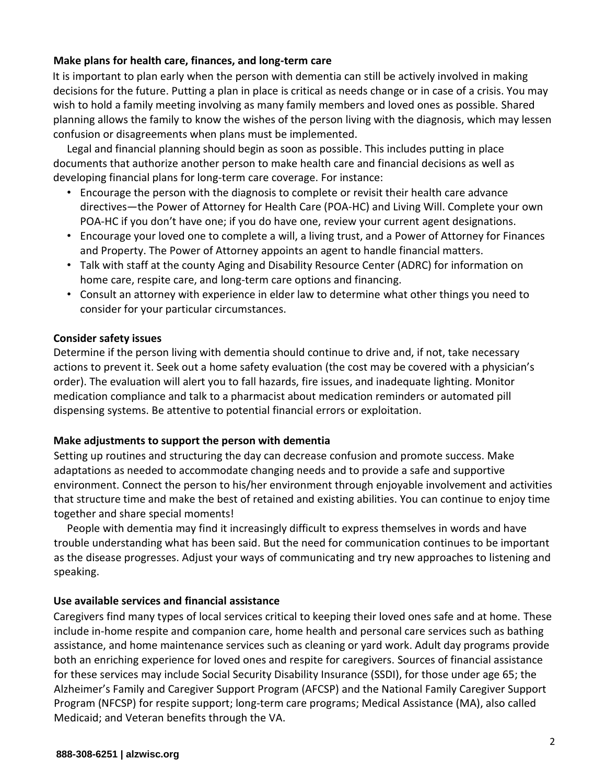# **Make plans for health care, finances, and long-term care**

It is important to plan early when the person with dementia can still be actively involved in making decisions for the future. Putting a plan in place is critical as needs change or in case of a crisis. You may wish to hold a family meeting involving as many family members and loved ones as possible. Shared planning allows the family to know the wishes of the person living with the diagnosis, which may lessen confusion or disagreements when plans must be implemented.

Legal and financial planning should begin as soon as possible. This includes putting in place documents that authorize another person to make health care and financial decisions as well as developing financial plans for long-term care coverage. For instance:

- Encourage the person with the diagnosis to complete or revisit their health care advance directives—the Power of Attorney for Health Care (POA-HC) and Living Will. Complete your own POA-HC if you don't have one; if you do have one, review your current agent designations.
- Encourage your loved one to complete a will, a living trust, and a Power of Attorney for Finances and Property. The Power of Attorney appoints an agent to handle financial matters.
- Talk with staff at the county Aging and Disability Resource Center (ADRC) for information on home care, respite care, and long-term care options and financing.
- Consult an attorney with experience in elder law to determine what other things you need to consider for your particular circumstances.

# **Consider safety issues**

Determine if the person living with dementia should continue to drive and, if not, take necessary actions to prevent it. Seek out a home safety evaluation (the cost may be covered with a physician's order). The evaluation will alert you to fall hazards, fire issues, and inadequate lighting. Monitor medication compliance and talk to a pharmacist about medication reminders or automated pill dispensing systems. Be attentive to potential financial errors or exploitation.

# **Make adjustments to support the person with dementia**

Setting up routines and structuring the day can decrease confusion and promote success. Make adaptations as needed to accommodate changing needs and to provide a safe and supportive environment. Connect the person to his/her environment through enjoyable involvement and activities that structure time and make the best of retained and existing abilities. You can continue to enjoy time together and share special moments!

People with dementia may find it increasingly difficult to express themselves in words and have trouble understanding what has been said. But the need for communication continues to be important as the disease progresses. Adjust your ways of communicating and try new approaches to listening and speaking.

# **Use available services and financial assistance**

Caregivers find many types of local services critical to keeping their loved ones safe and at home. These include in-home respite and companion care, home health and personal care services such as bathing assistance, and home maintenance services such as cleaning or yard work. Adult day programs provide both an enriching experience for loved ones and respite for caregivers. Sources of financial assistance for these services may include Social Security Disability Insurance (SSDI), for those under age 65; the Alzheimer's Family and Caregiver Support Program (AFCSP) and the National Family Caregiver Support Program (NFCSP) for respite support; long-term care programs; Medical Assistance (MA), also called Medicaid; and Veteran benefits through the VA.